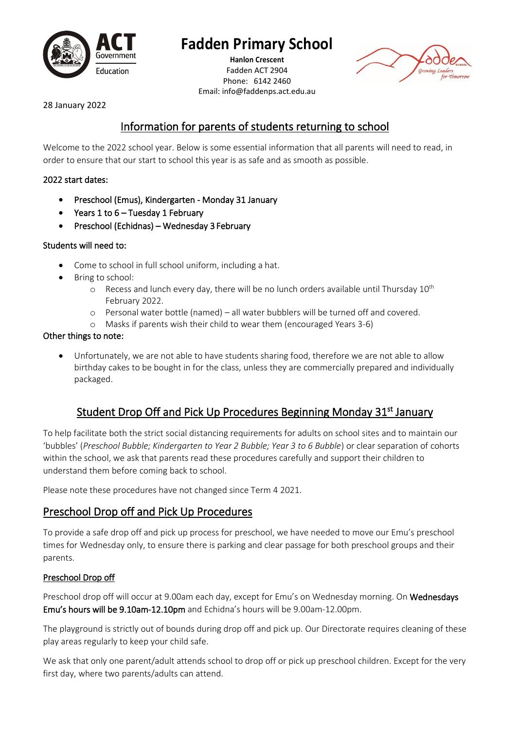

# **Fadden Primary School**

**Hanlon Crescent** Fadden ACT 2904 Phone: 6142 2460 Email: info@faddenps.act.edu.au



28 January 2022

# Information for parents of students returning to school

Welcome to the 2022 school year. Below is some essential information that all parents will need to read, in order to ensure that our start to school this year is as safe and as smooth as possible.

#### 2022 start dates:

- Preschool (Emus), Kindergarten Monday 31 January
- Years 1 to 6 Tuesday 1 February
- Preschool (Echidnas) Wednesday 3 February

#### Students will need to:

- Come to school in full school uniform, including a hat.
- Bring to school:
	- $\circ$  Recess and lunch every day, there will be no lunch orders available until Thursday 10<sup>th</sup> February 2022.
	- o Personal water bottle (named) all water bubblers will be turned off and covered.
	- o Masks if parents wish their child to wear them (encouraged Years 3-6)

#### Other things to note:

• Unfortunately, we are not able to have students sharing food, therefore we are not able to allow birthday cakes to be bought in for the class, unless they are commercially prepared and individually packaged.

# Student Drop Off and Pick Up Procedures Beginning Monday 31<sup>st</sup> January

To help facilitate both the strict social distancing requirements for adults on school sites and to maintain our 'bubbles' (*Preschool Bubble; Kindergarten to Year 2 Bubble; Year 3 to 6 Bubble*) or clear separation of cohorts within the school, we ask that parents read these procedures carefully and support their children to understand them before coming back to school.

Please note these procedures have not changed since Term 4 2021.

### Preschool Drop off and Pick Up Procedures

To provide a safe drop off and pick up process for preschool, we have needed to move our Emu's preschool times for Wednesday only, to ensure there is parking and clear passage for both preschool groups and their parents.

#### Preschool Drop off

Preschool drop off will occur at 9.00am each day, except for Emu's on Wednesday morning. On Wednesdays Emu's hours will be 9.10am-12.10pm and Echidna's hours will be 9.00am-12.00pm.

The playground is strictly out of bounds during drop off and pick up. Our Directorate requires cleaning of these play areas regularly to keep your child safe.

We ask that only one parent/adult attends school to drop off or pick up preschool children. Except for the very first day, where two parents/adults can attend.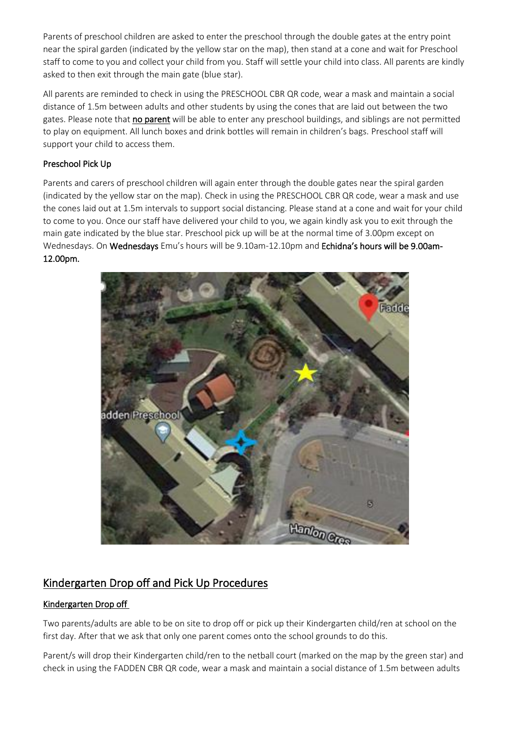Parents of preschool children are asked to enter the preschool through the double gates at the entry point near the spiral garden (indicated by the yellow star on the map), then stand at a cone and wait for Preschool staff to come to you and collect your child from you. Staff will settle your child into class. All parents are kindly asked to then exit through the main gate (blue star).

All parents are reminded to check in using the PRESCHOOL CBR QR code, wear a mask and maintain a social distance of 1.5m between adults and other students by using the cones that are laid out between the two gates. Please note that no parent will be able to enter any preschool buildings, and siblings are not permitted to play on equipment. All lunch boxes and drink bottles will remain in children's bags. Preschool staff will support your child to access them.

#### Preschool Pick Up

Parents and carers of preschool children will again enter through the double gates near the spiral garden (indicated by the yellow star on the map). Check in using the PRESCHOOL CBR QR code, wear a mask and use the cones laid out at 1.5m intervals to support social distancing. Please stand at a cone and wait for your child to come to you. Once our staff have delivered your child to you, we again kindly ask you to exit through the main gate indicated by the blue star. Preschool pick up will be at the normal time of 3.00pm except on Wednesdays. On Wednesdays Emu's hours will be 9.10am-12.10pm and Echidna's hours will be 9.00am-12.00pm.



### Kindergarten Drop off and Pick Up Procedures

#### Kindergarten Drop off

Two parents/adults are able to be on site to drop off or pick up their Kindergarten child/ren at school on the first day. After that we ask that only one parent comes onto the school grounds to do this.

Parent/s will drop their Kindergarten child/ren to the netball court (marked on the map by the green star) and check in using the FADDEN CBR QR code, wear a mask and maintain a social distance of 1.5m between adults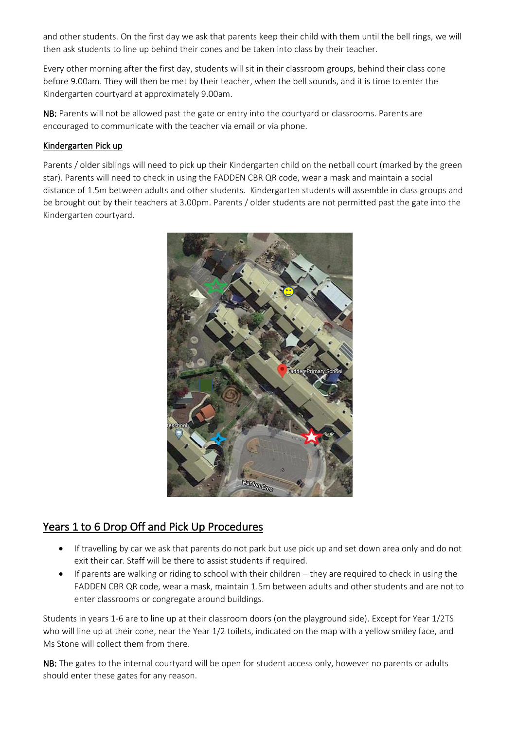and other students. On the first day we ask that parents keep their child with them until the bell rings, we will then ask students to line up behind their cones and be taken into class by their teacher.

Every other morning after the first day, students will sit in their classroom groups, behind their class cone before 9.00am. They will then be met by their teacher, when the bell sounds, and it is time to enter the Kindergarten courtyard at approximately 9.00am.

NB: Parents will not be allowed past the gate or entry into the courtyard or classrooms. Parents are encouraged to communicate with the teacher via email or via phone.

#### Kindergarten Pick up

Parents / older siblings will need to pick up their Kindergarten child on the netball court (marked by the green star). Parents will need to check in using the FADDEN CBR QR code, wear a mask and maintain a social distance of 1.5m between adults and other students. Kindergarten students will assemble in class groups and be brought out by their teachers at 3.00pm. Parents / older students are not permitted past the gate into the Kindergarten courtyard.



### Years 1 to 6 Drop Off and Pick Up Procedures

- If travelling by car we ask that parents do not park but use pick up and set down area only and do not exit their car. Staff will be there to assist students if required.
- If parents are walking or riding to school with their children they are required to check in using the FADDEN CBR QR code, wear a mask, maintain 1.5m between adults and other students and are not to enter classrooms or congregate around buildings.

Students in years 1-6 are to line up at their classroom doors (on the playground side). Except for Year 1/2TS who will line up at their cone, near the Year 1/2 toilets, indicated on the map with a yellow smiley face, and Ms Stone will collect them from there.

NB: The gates to the internal courtyard will be open for student access only, however no parents or adults should enter these gates for any reason.